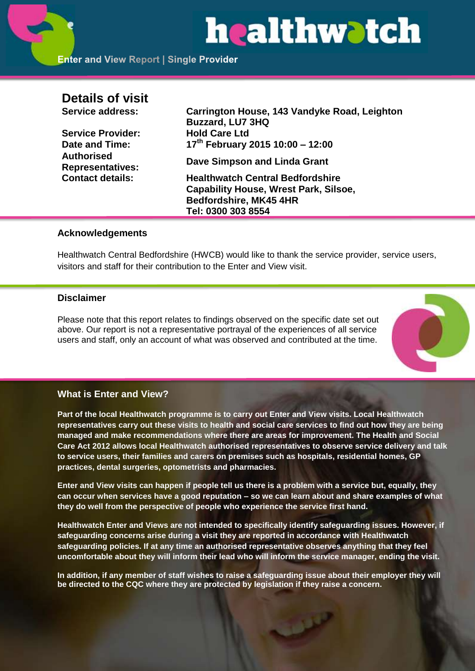# healthwatch

# **Details of visit**

**Service Provider: Hold Care Ltd Date and Time: Authorised** 

**Service address: Carrington House, 143 Vandyke Road, Leighton Buzzard, LU7 3HQ th February 2015 10:00 – 12:00**

**Representatives: Dave Simpson and Linda Grant**

**Contact details: Healthwatch Central Bedfordshire Capability House, Wrest Park, Silsoe, Bedfordshire, MK45 4HR Tel: 0300 303 8554**

## **Acknowledgements**

Healthwatch Central Bedfordshire (HWCB) would like to thank the service provider, service users, visitors and staff for their contribution to the Enter and View visit.

# **Disclaimer**

Please note that this report relates to findings observed on the specific date set out above. Our report is not a representative portrayal of the experiences of all service users and staff, only an account of what was observed and contributed at the time.



# **What is Enter and View?**

**Part of the local Healthwatch programme is to carry out Enter and View visits. Local Healthwatch representatives carry out these visits to health and social care services to find out how they are being managed and make recommendations where there are areas for improvement. The Health and Social Care Act 2012 allows local Healthwatch authorised representatives to observe service delivery and talk to service users, their families and carers on premises such as hospitals, residential homes, GP practices, dental surgeries, optometrists and pharmacies.** 

**Enter and View visits can happen if people tell us there is a problem with a service but, equally, they can occur when services have a good reputation – so we can learn about and share examples of what they do well from the perspective of people who experience the service first hand.**

**Healthwatch Enter and Views are not intended to specifically identify safeguarding issues. However, if safeguarding concerns arise during a visit they are reported in accordance with Healthwatch safeguarding policies. If at any time an authorised representative observes anything that they feel uncomfortable about they will inform their lead who will inform the service manager, ending the visit.** 

**In addition, if any member of staff wishes to raise a safeguarding issue about their employer they will be directed to the CQC where they are protected by legislation if they raise a concern.**

فتخفف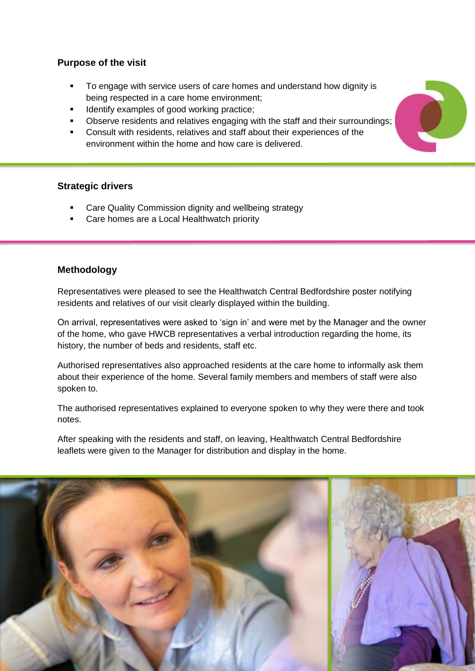# **Purpose of the visit**

- To engage with service users of care homes and understand how dignity is being respected in a care home environment;
- Identify examples of good working practice;
- Observe residents and relatives engaging with the staff and their surroundings;
- Consult with residents, relatives and staff about their experiences of the environment within the home and how care is delivered.

# **Strategic drivers**

- Care Quality Commission dignity and wellbeing strategy
- Care homes are a Local Healthwatch priority

## **Methodology**

Representatives were pleased to see the Healthwatch Central Bedfordshire poster notifying residents and relatives of our visit clearly displayed within the building.

On arrival, representatives were asked to 'sign in' and were met by the Manager and the owner of the home, who gave HWCB representatives a verbal introduction regarding the home, its history, the number of beds and residents, staff etc.

Authorised representatives also approached residents at the care home to informally ask them about their experience of the home. Several family members and members of staff were also spoken to.

The authorised representatives explained to everyone spoken to why they were there and took notes.

After speaking with the residents and staff, on leaving, Healthwatch Central Bedfordshire leaflets were given to the Manager for distribution and display in the home.



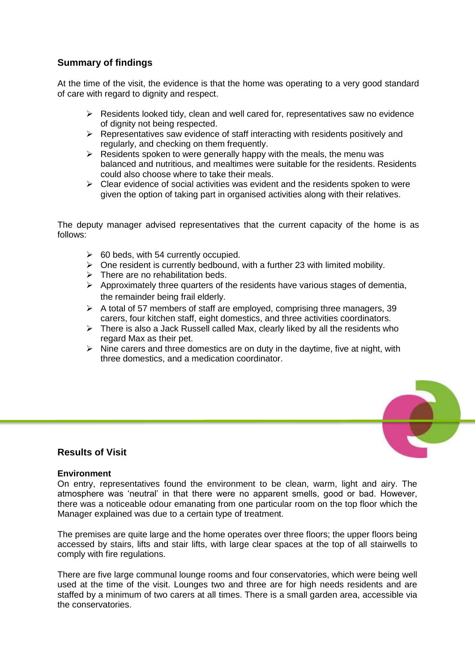# **Summary of findings**

At the time of the visit, the evidence is that the home was operating to a very good standard of care with regard to dignity and respect.

- $\triangleright$  Residents looked tidy, clean and well cared for, representatives saw no evidence of dignity not being respected.
- $\triangleright$  Representatives saw evidence of staff interacting with residents positively and regularly, and checking on them frequently.
- $\triangleright$  Residents spoken to were generally happy with the meals, the menu was balanced and nutritious, and mealtimes were suitable for the residents. Residents could also choose where to take their meals.
- $\triangleright$  Clear evidence of social activities was evident and the residents spoken to were given the option of taking part in organised activities along with their relatives.

The deputy manager advised representatives that the current capacity of the home is as follows:

- $\geq$  60 beds, with 54 currently occupied.
- $\triangleright$  One resident is currently bedbound, with a further 23 with limited mobility.
- $\triangleright$  There are no rehabilitation beds.
- $\triangleright$  Approximately three quarters of the residents have various stages of dementia, the remainder being frail elderly.
- $\triangleright$  A total of 57 members of staff are employed, comprising three managers, 39 carers, four kitchen staff, eight domestics, and three activities coordinators.
- $\triangleright$  There is also a Jack Russell called Max, clearly liked by all the residents who regard Max as their pet.
- $\triangleright$  Nine carers and three domestics are on duty in the daytime, five at night, with three domestics, and a medication coordinator.



# **Results of Visit**

#### **Environment**

On entry, representatives found the environment to be clean, warm, light and airy. The atmosphere was 'neutral' in that there were no apparent smells, good or bad. However, there was a noticeable odour emanating from one particular room on the top floor which the Manager explained was due to a certain type of treatment.

The premises are quite large and the home operates over three floors; the upper floors being accessed by stairs, lifts and stair lifts, with large clear spaces at the top of all stairwells to comply with fire regulations.

There are five large communal lounge rooms and four conservatories, which were being well used at the time of the visit. Lounges two and three are for high needs residents and are staffed by a minimum of two carers at all times. There is a small garden area, accessible via the conservatories.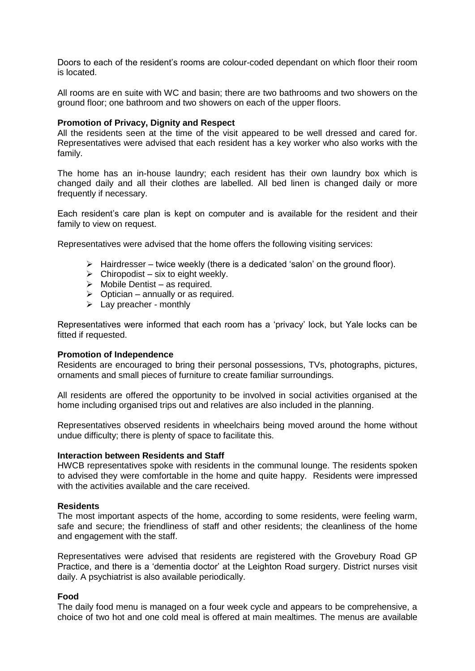Doors to each of the resident's rooms are colour-coded dependant on which floor their room is located.

All rooms are en suite with WC and basin; there are two bathrooms and two showers on the ground floor; one bathroom and two showers on each of the upper floors.

#### **Promotion of Privacy, Dignity and Respect**

All the residents seen at the time of the visit appeared to be well dressed and cared for. Representatives were advised that each resident has a key worker who also works with the family.

The home has an in-house laundry; each resident has their own laundry box which is changed daily and all their clothes are labelled. All bed linen is changed daily or more frequently if necessary.

Each resident's care plan is kept on computer and is available for the resident and their family to view on request.

Representatives were advised that the home offers the following visiting services:

- $\triangleright$  Hairdresser twice weekly (there is a dedicated 'salon' on the ground floor).
- $\triangleright$  Chiropodist six to eight weekly.
- $\triangleright$  Mobile Dentist as required.
- $\triangleright$  Optician annually or as required.
- $\triangleright$  Lay preacher monthly

Representatives were informed that each room has a 'privacy' lock, but Yale locks can be fitted if requested.

#### **Promotion of Independence**

Residents are encouraged to bring their personal possessions, TVs, photographs, pictures, ornaments and small pieces of furniture to create familiar surroundings.

All residents are offered the opportunity to be involved in social activities organised at the home including organised trips out and relatives are also included in the planning.

Representatives observed residents in wheelchairs being moved around the home without undue difficulty; there is plenty of space to facilitate this.

#### **Interaction between Residents and Staff**

HWCB representatives spoke with residents in the communal lounge. The residents spoken to advised they were comfortable in the home and quite happy. Residents were impressed with the activities available and the care received.

#### **Residents**

The most important aspects of the home, according to some residents, were feeling warm, safe and secure; the friendliness of staff and other residents; the cleanliness of the home and engagement with the staff.

Representatives were advised that residents are registered with the Grovebury Road GP Practice, and there is a 'dementia doctor' at the Leighton Road surgery. District nurses visit daily. A psychiatrist is also available periodically.

#### **Food**

The daily food menu is managed on a four week cycle and appears to be comprehensive, a choice of two hot and one cold meal is offered at main mealtimes. The menus are available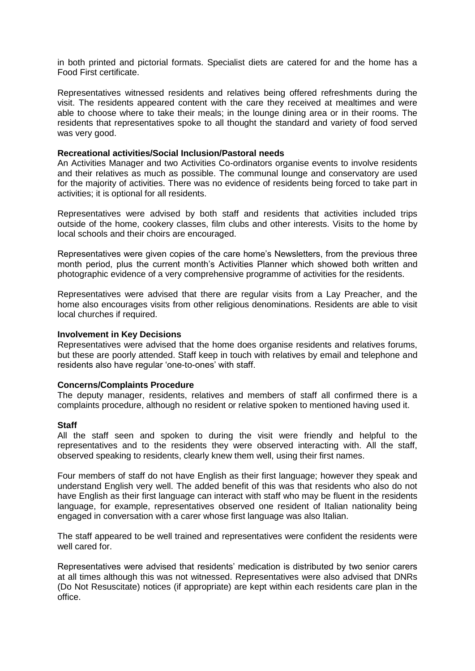in both printed and pictorial formats. Specialist diets are catered for and the home has a Food First certificate.

Representatives witnessed residents and relatives being offered refreshments during the visit. The residents appeared content with the care they received at mealtimes and were able to choose where to take their meals; in the lounge dining area or in their rooms. The residents that representatives spoke to all thought the standard and variety of food served was very good.

#### **Recreational activities/Social Inclusion/Pastoral needs**

An Activities Manager and two Activities Co-ordinators organise events to involve residents and their relatives as much as possible. The communal lounge and conservatory are used for the majority of activities. There was no evidence of residents being forced to take part in activities; it is optional for all residents.

Representatives were advised by both staff and residents that activities included trips outside of the home, cookery classes, film clubs and other interests. Visits to the home by local schools and their choirs are encouraged.

Representatives were given copies of the care home's Newsletters, from the previous three month period, plus the current month's Activities Planner which showed both written and photographic evidence of a very comprehensive programme of activities for the residents.

Representatives were advised that there are regular visits from a Lay Preacher, and the home also encourages visits from other religious denominations. Residents are able to visit local churches if required.

#### **Involvement in Key Decisions**

Representatives were advised that the home does organise residents and relatives forums, but these are poorly attended. Staff keep in touch with relatives by email and telephone and residents also have regular 'one-to-ones' with staff.

#### **Concerns/Complaints Procedure**

The deputy manager, residents, relatives and members of staff all confirmed there is a complaints procedure, although no resident or relative spoken to mentioned having used it.

#### **Staff**

All the staff seen and spoken to during the visit were friendly and helpful to the representatives and to the residents they were observed interacting with. All the staff, observed speaking to residents, clearly knew them well, using their first names.

Four members of staff do not have English as their first language; however they speak and understand English very well. The added benefit of this was that residents who also do not have English as their first language can interact with staff who may be fluent in the residents language, for example, representatives observed one resident of Italian nationality being engaged in conversation with a carer whose first language was also Italian.

The staff appeared to be well trained and representatives were confident the residents were well cared for.

Representatives were advised that residents' medication is distributed by two senior carers at all times although this was not witnessed. Representatives were also advised that DNRs (Do Not Resuscitate) notices (if appropriate) are kept within each residents care plan in the office.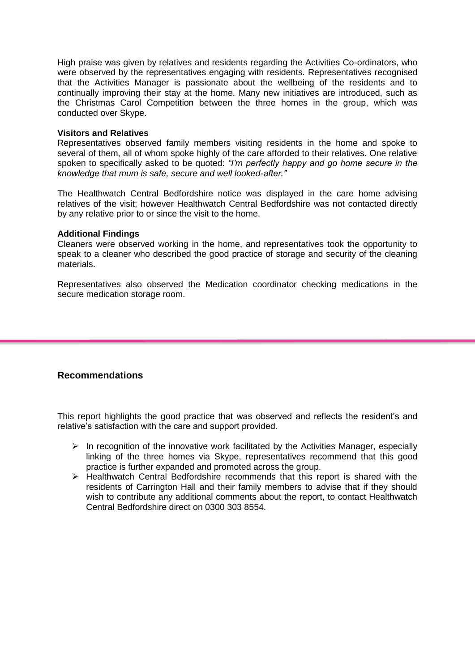High praise was given by relatives and residents regarding the Activities Co-ordinators, who were observed by the representatives engaging with residents. Representatives recognised that the Activities Manager is passionate about the wellbeing of the residents and to continually improving their stay at the home. Many new initiatives are introduced, such as the Christmas Carol Competition between the three homes in the group, which was conducted over Skype.

#### **Visitors and Relatives**

Representatives observed family members visiting residents in the home and spoke to several of them, all of whom spoke highly of the care afforded to their relatives. One relative spoken to specifically asked to be quoted: *"I'm perfectly happy and go home secure in the knowledge that mum is safe, secure and well looked-after."*

The Healthwatch Central Bedfordshire notice was displayed in the care home advising relatives of the visit; however Healthwatch Central Bedfordshire was not contacted directly by any relative prior to or since the visit to the home.

#### **Additional Findings**

Cleaners were observed working in the home, and representatives took the opportunity to speak to a cleaner who described the good practice of storage and security of the cleaning materials.

Representatives also observed the Medication coordinator checking medications in the secure medication storage room.

# **Recommendations**

This report highlights the good practice that was observed and reflects the resident's and relative's satisfaction with the care and support provided.

- $\triangleright$  In recognition of the innovative work facilitated by the Activities Manager, especially linking of the three homes via Skype, representatives recommend that this good practice is further expanded and promoted across the group.
- $\triangleright$  Healthwatch Central Bedfordshire recommends that this report is shared with the residents of Carrington Hall and their family members to advise that if they should wish to contribute any additional comments about the report, to contact Healthwatch Central Bedfordshire direct on 0300 303 8554.